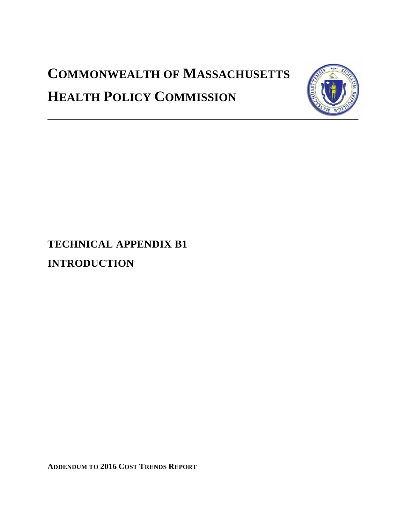# **COMMONWEALTH OF MASSACHUSETTS HEALTH POLICY COMMISSION**



**TECHNICAL APPENDIX B1 INTRODUCTION**

**ADDENDUM TO 2016 COST TRENDS REPORT**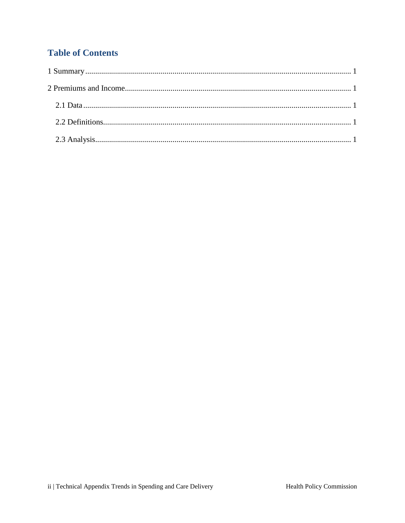## **Table of Contents**